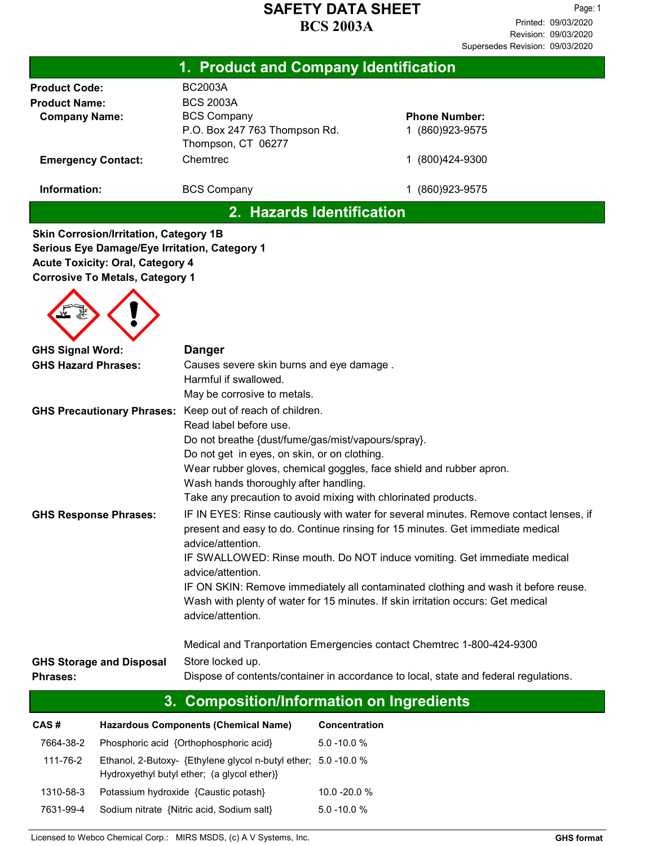| 1. Product and Company Identification |                                                     |                      |  |  |
|---------------------------------------|-----------------------------------------------------|----------------------|--|--|
| <b>Product Code:</b>                  | <b>BC2003A</b>                                      |                      |  |  |
| <b>Product Name:</b>                  | <b>BCS 2003A</b>                                    |                      |  |  |
| <b>Company Name:</b>                  | <b>BCS Company</b>                                  | <b>Phone Number:</b> |  |  |
|                                       | P.O. Box 247 763 Thompson Rd.<br>Thompson, CT 06277 | (860)923-9575        |  |  |
| <b>Emergency Contact:</b>             | Chemtrec                                            | (800)424-9300        |  |  |
| Information:                          | <b>BCS Company</b>                                  | (860) 923-9575       |  |  |
|                                       | .<br>.                                              |                      |  |  |

2. Hazards Identification

Skin Corrosion/Irritation, Category 1B Serious Eye Damage/Eye Irritation, Category 1 Acute Toxicity: Oral, Category 4 Corrosive To Metals, Category 1

| <b>GHS Signal Word:</b>                                   | <b>Danger</b>                                                                                                                                                                                 |  |  |
|-----------------------------------------------------------|-----------------------------------------------------------------------------------------------------------------------------------------------------------------------------------------------|--|--|
| <b>GHS Hazard Phrases:</b>                                | Causes severe skin burns and eye damage.                                                                                                                                                      |  |  |
|                                                           | Harmful if swallowed.                                                                                                                                                                         |  |  |
|                                                           | May be corrosive to metals.                                                                                                                                                                   |  |  |
| GHS Precautionary Phrases: Keep out of reach of children. |                                                                                                                                                                                               |  |  |
|                                                           | Read label before use.                                                                                                                                                                        |  |  |
|                                                           | Do not breathe {dust/fume/gas/mist/vapours/spray}.                                                                                                                                            |  |  |
|                                                           | Do not get in eyes, on skin, or on clothing.                                                                                                                                                  |  |  |
|                                                           | Wear rubber gloves, chemical goggles, face shield and rubber apron.                                                                                                                           |  |  |
|                                                           | Wash hands thoroughly after handling.                                                                                                                                                         |  |  |
|                                                           | Take any precaution to avoid mixing with chlorinated products.                                                                                                                                |  |  |
| <b>GHS Response Phrases:</b>                              | IF IN EYES: Rinse cautiously with water for several minutes. Remove contact lenses, if<br>present and easy to do. Continue rinsing for 15 minutes. Get immediate medical<br>advice/attention. |  |  |
|                                                           | IF SWALLOWED: Rinse mouth. Do NOT induce vomiting. Get immediate medical<br>advice/attention.                                                                                                 |  |  |
|                                                           | IF ON SKIN: Remove immediately all contaminated clothing and wash it before reuse.                                                                                                            |  |  |
|                                                           | Wash with plenty of water for 15 minutes. If skin irritation occurs: Get medical<br>advice/attention.                                                                                         |  |  |
|                                                           | Medical and Tranportation Emergencies contact Chemtrec 1-800-424-9300                                                                                                                         |  |  |
| <b>GHS Storage and Disposal</b>                           | Store locked up.                                                                                                                                                                              |  |  |
| Phrases:                                                  | Dispose of contents/container in accordance to local, state and federal regulations.                                                                                                          |  |  |

# 3. Composition/Information on Ingredients

| CAS#      | <b>Hazardous Components (Chemical Name)</b>                                                                   | <b>Concentration</b> |
|-----------|---------------------------------------------------------------------------------------------------------------|----------------------|
| 7664-38-2 | Phosphoric acid {Orthophosphoric acid}                                                                        | $5.0 - 10.0 %$       |
| 111-76-2  | Ethanol, 2-Butoxy- {Ethylene glycol n-butyl ether; 5.0 -10.0 %<br>Hydroxyethyl butyl ether; (a glycol ether)} |                      |
| 1310-58-3 | Potassium hydroxide {Caustic potash}                                                                          | $10.0 - 20.0 %$      |
| 7631-99-4 | Sodium nitrate {Nitric acid, Sodium salt}                                                                     | $5.0 - 10.0 %$       |

Licensed to Webco Chemical Corp.: MIRS MSDS, (c) A V Systems, Inc. GHS format Corp.: GHS format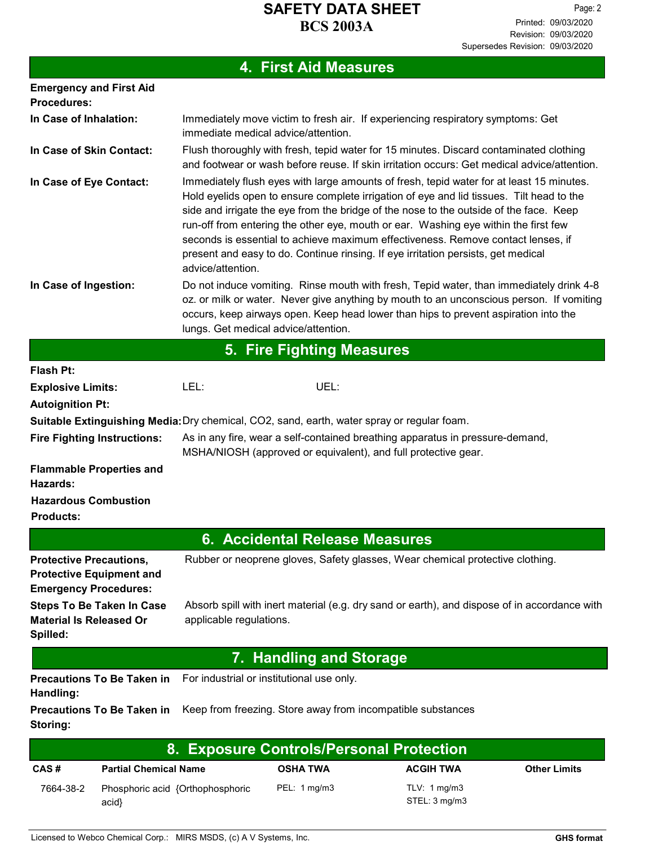# 4. First Aid Measures

|                                                                                                   | <b>THULFIN MURDAL</b>                                                                                                                                                                                                                                                                                                                                                                                                                                                                                                                                               |  |  |  |  |
|---------------------------------------------------------------------------------------------------|---------------------------------------------------------------------------------------------------------------------------------------------------------------------------------------------------------------------------------------------------------------------------------------------------------------------------------------------------------------------------------------------------------------------------------------------------------------------------------------------------------------------------------------------------------------------|--|--|--|--|
| <b>Emergency and First Aid</b><br><b>Procedures:</b>                                              |                                                                                                                                                                                                                                                                                                                                                                                                                                                                                                                                                                     |  |  |  |  |
| In Case of Inhalation:                                                                            | Immediately move victim to fresh air. If experiencing respiratory symptoms: Get<br>immediate medical advice/attention.                                                                                                                                                                                                                                                                                                                                                                                                                                              |  |  |  |  |
| In Case of Skin Contact:                                                                          | Flush thoroughly with fresh, tepid water for 15 minutes. Discard contaminated clothing<br>and footwear or wash before reuse. If skin irritation occurs: Get medical advice/attention.                                                                                                                                                                                                                                                                                                                                                                               |  |  |  |  |
| In Case of Eye Contact:                                                                           | Immediately flush eyes with large amounts of fresh, tepid water for at least 15 minutes.<br>Hold eyelids open to ensure complete irrigation of eye and lid tissues. Tilt head to the<br>side and irrigate the eye from the bridge of the nose to the outside of the face. Keep<br>run-off from entering the other eye, mouth or ear. Washing eye within the first few<br>seconds is essential to achieve maximum effectiveness. Remove contact lenses, if<br>present and easy to do. Continue rinsing. If eye irritation persists, get medical<br>advice/attention. |  |  |  |  |
| In Case of Ingestion:                                                                             | Do not induce vomiting. Rinse mouth with fresh, Tepid water, than immediately drink 4-8<br>oz. or milk or water. Never give anything by mouth to an unconscious person. If vomiting<br>occurs, keep airways open. Keep head lower than hips to prevent aspiration into the<br>lungs. Get medical advice/attention.                                                                                                                                                                                                                                                  |  |  |  |  |
|                                                                                                   | <b>5. Fire Fighting Measures</b>                                                                                                                                                                                                                                                                                                                                                                                                                                                                                                                                    |  |  |  |  |
| <b>Flash Pt:</b>                                                                                  |                                                                                                                                                                                                                                                                                                                                                                                                                                                                                                                                                                     |  |  |  |  |
| <b>Explosive Limits:</b>                                                                          | UEL:<br>LEL:                                                                                                                                                                                                                                                                                                                                                                                                                                                                                                                                                        |  |  |  |  |
| <b>Autoignition Pt:</b>                                                                           |                                                                                                                                                                                                                                                                                                                                                                                                                                                                                                                                                                     |  |  |  |  |
|                                                                                                   | Suitable Extinguishing Media: Dry chemical, CO2, sand, earth, water spray or regular foam.                                                                                                                                                                                                                                                                                                                                                                                                                                                                          |  |  |  |  |
| <b>Fire Fighting Instructions:</b>                                                                | As in any fire, wear a self-contained breathing apparatus in pressure-demand,<br>MSHA/NIOSH (approved or equivalent), and full protective gear.                                                                                                                                                                                                                                                                                                                                                                                                                     |  |  |  |  |
| <b>Flammable Properties and</b><br>Hazards:                                                       |                                                                                                                                                                                                                                                                                                                                                                                                                                                                                                                                                                     |  |  |  |  |
| <b>Hazardous Combustion</b><br><b>Products:</b>                                                   |                                                                                                                                                                                                                                                                                                                                                                                                                                                                                                                                                                     |  |  |  |  |
|                                                                                                   | 6. Accidental Release Measures                                                                                                                                                                                                                                                                                                                                                                                                                                                                                                                                      |  |  |  |  |
| <b>Protective Precautions,</b><br><b>Protective Equipment and</b><br><b>Emergency Procedures:</b> | Rubber or neoprene gloves, Safety glasses, Wear chemical protective clothing.                                                                                                                                                                                                                                                                                                                                                                                                                                                                                       |  |  |  |  |
| <b>Steps To Be Taken In Case</b><br><b>Material Is Released Or</b><br>Spilled:                    | Absorb spill with inert material (e.g. dry sand or earth), and dispose of in accordance with<br>applicable regulations.                                                                                                                                                                                                                                                                                                                                                                                                                                             |  |  |  |  |
|                                                                                                   | <b>7. Handling and Storage</b>                                                                                                                                                                                                                                                                                                                                                                                                                                                                                                                                      |  |  |  |  |
| <b>Precautions To Be Taken in</b><br>Handling:                                                    | For industrial or institutional use only.                                                                                                                                                                                                                                                                                                                                                                                                                                                                                                                           |  |  |  |  |
| <b>Precautions To Be Taken in</b><br>Storing:                                                     | Keep from freezing. Store away from incompatible substances                                                                                                                                                                                                                                                                                                                                                                                                                                                                                                         |  |  |  |  |
|                                                                                                   | 8. Exposure Controls/Personal Protection                                                                                                                                                                                                                                                                                                                                                                                                                                                                                                                            |  |  |  |  |

| <b>0. LADUSULE UUILIUIS/I EISUIIAI I IULEULIUII</b> |                                          |                 |                               |                     |
|-----------------------------------------------------|------------------------------------------|-----------------|-------------------------------|---------------------|
| CAS#                                                | <b>Partial Chemical Name</b>             | <b>OSHA TWA</b> | <b>ACGIH TWA</b>              | <b>Other Limits</b> |
| 7664-38-2                                           | Phosphoric acid {Orthophosphoric<br>acid | PEL: 1 mg/m3    | TLV: 1 mg/m3<br>STEL: 3 mg/m3 |                     |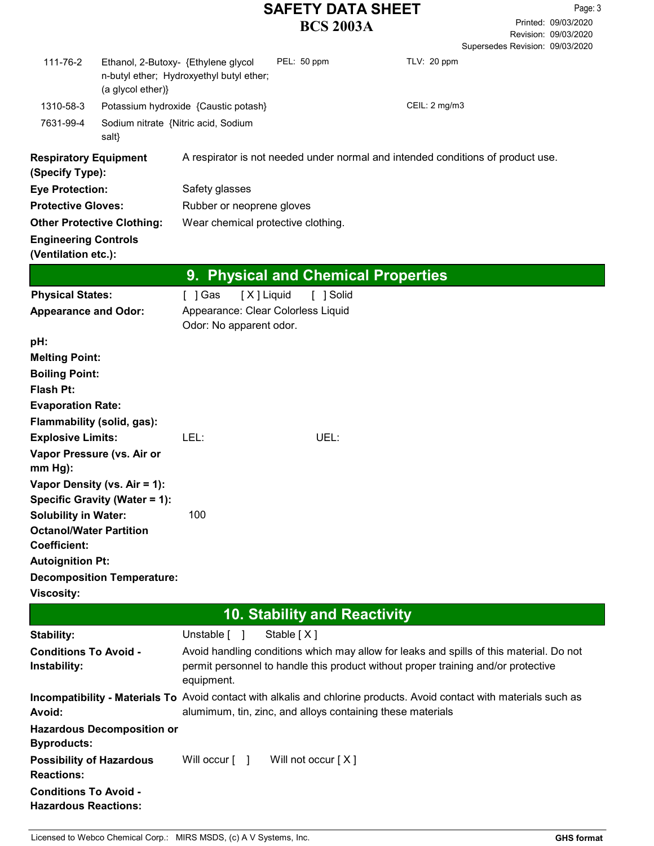Revision: 09/03/2020 Printed: 09/03/2020 Page: 3 Supersedes Revision: 09/03/2020

| 111-76-2                                                      | Ethanol, 2-Butoxy- {Ethylene glycol<br>(a glycol ether)} | n-butyl ether; Hydroxyethyl butyl ether;                      | PEL: 50 ppm                         | TLV: 20 ppm                                                                                                                                                                         |  |
|---------------------------------------------------------------|----------------------------------------------------------|---------------------------------------------------------------|-------------------------------------|-------------------------------------------------------------------------------------------------------------------------------------------------------------------------------------|--|
| 1310-58-3                                                     |                                                          | Potassium hydroxide {Caustic potash}                          |                                     | CEIL: 2 mg/m3                                                                                                                                                                       |  |
| 7631-99-4                                                     | Sodium nitrate {Nitric acid, Sodium<br>salt}             |                                                               |                                     |                                                                                                                                                                                     |  |
| <b>Respiratory Equipment</b><br>(Specify Type):               |                                                          |                                                               |                                     | A respirator is not needed under normal and intended conditions of product use.                                                                                                     |  |
| <b>Eye Protection:</b>                                        |                                                          | Safety glasses                                                |                                     |                                                                                                                                                                                     |  |
| <b>Protective Gloves:</b>                                     |                                                          | Rubber or neoprene gloves                                     |                                     |                                                                                                                                                                                     |  |
|                                                               | <b>Other Protective Clothing:</b>                        | Wear chemical protective clothing.                            |                                     |                                                                                                                                                                                     |  |
| <b>Engineering Controls</b><br>(Ventilation etc.):            |                                                          |                                                               |                                     |                                                                                                                                                                                     |  |
|                                                               |                                                          | 9.                                                            |                                     | <b>Physical and Chemical Properties</b>                                                                                                                                             |  |
| <b>Physical States:</b>                                       |                                                          | [X] Liquid<br>[ ] Gas                                         | [ ] Solid                           |                                                                                                                                                                                     |  |
| <b>Appearance and Odor:</b>                                   |                                                          | Appearance: Clear Colorless Liquid<br>Odor: No apparent odor. |                                     |                                                                                                                                                                                     |  |
| pH:                                                           |                                                          |                                                               |                                     |                                                                                                                                                                                     |  |
| <b>Melting Point:</b>                                         |                                                          |                                                               |                                     |                                                                                                                                                                                     |  |
| <b>Boiling Point:</b>                                         |                                                          |                                                               |                                     |                                                                                                                                                                                     |  |
| Flash Pt:                                                     |                                                          |                                                               |                                     |                                                                                                                                                                                     |  |
| <b>Evaporation Rate:</b>                                      |                                                          |                                                               |                                     |                                                                                                                                                                                     |  |
|                                                               | Flammability (solid, gas):                               |                                                               |                                     |                                                                                                                                                                                     |  |
| <b>Explosive Limits:</b>                                      |                                                          | LEL:                                                          | UEL:                                |                                                                                                                                                                                     |  |
| $mm Hg$ :                                                     | Vapor Pressure (vs. Air or                               |                                                               |                                     |                                                                                                                                                                                     |  |
|                                                               | Vapor Density (vs. Air = 1):                             |                                                               |                                     |                                                                                                                                                                                     |  |
| Specific Gravity (Water = 1):                                 |                                                          |                                                               |                                     |                                                                                                                                                                                     |  |
| <b>Solubility in Water:</b><br><b>Octanol/Water Partition</b> |                                                          | 100                                                           |                                     |                                                                                                                                                                                     |  |
| <b>Coefficient:</b>                                           |                                                          |                                                               |                                     |                                                                                                                                                                                     |  |
| <b>Autoignition Pt:</b>                                       |                                                          |                                                               |                                     |                                                                                                                                                                                     |  |
|                                                               | <b>Decomposition Temperature:</b>                        |                                                               |                                     |                                                                                                                                                                                     |  |
| <b>Viscosity:</b>                                             |                                                          |                                                               |                                     |                                                                                                                                                                                     |  |
|                                                               |                                                          |                                                               | <b>10. Stability and Reactivity</b> |                                                                                                                                                                                     |  |
|                                                               |                                                          | Unstable [ ]                                                  | Stable [X]                          |                                                                                                                                                                                     |  |
| Stability:<br><b>Conditions To Avoid -</b>                    |                                                          |                                                               |                                     |                                                                                                                                                                                     |  |
| Instability:                                                  |                                                          | equipment.                                                    |                                     | Avoid handling conditions which may allow for leaks and spills of this material. Do not<br>permit personnel to handle this product without proper training and/or protective        |  |
| Avoid:                                                        |                                                          |                                                               |                                     | Incompatibility - Materials To Avoid contact with alkalis and chlorine products. Avoid contact with materials such as<br>alumimum, tin, zinc, and alloys containing these materials |  |
| <b>Byproducts:</b>                                            | <b>Hazardous Decomposition or</b>                        |                                                               |                                     |                                                                                                                                                                                     |  |
| <b>Possibility of Hazardous</b><br><b>Reactions:</b>          |                                                          | Will occur $\lceil \quad \rceil$                              | Will not occur [X]                  |                                                                                                                                                                                     |  |
| <b>Conditions To Avoid -</b><br><b>Hazardous Reactions:</b>   |                                                          |                                                               |                                     |                                                                                                                                                                                     |  |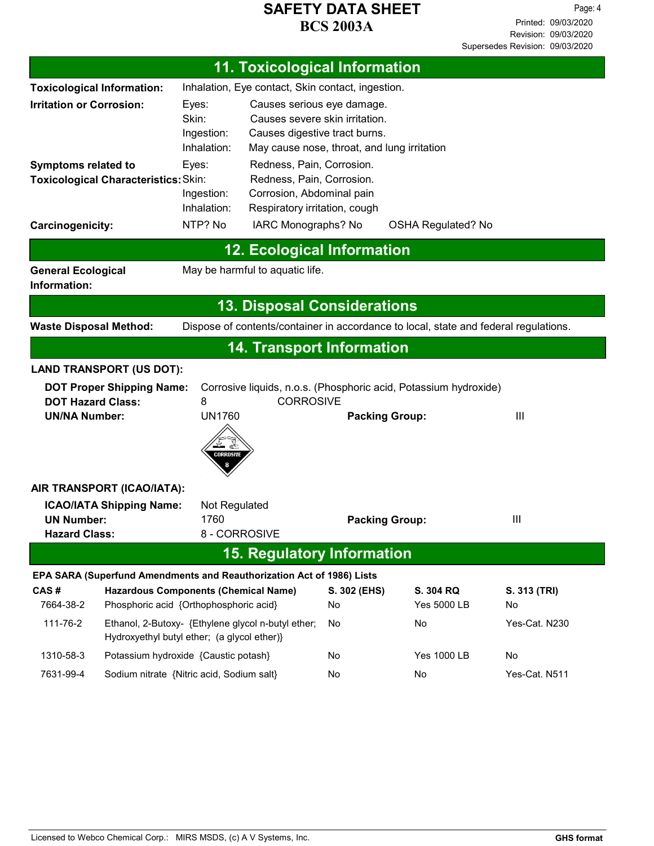|                                           | <b>11. Toxicological Information</b>                                                              |                 |                                                            |                          |                                                                                      |               |
|-------------------------------------------|---------------------------------------------------------------------------------------------------|-----------------|------------------------------------------------------------|--------------------------|--------------------------------------------------------------------------------------|---------------|
|                                           | Inhalation, Eye contact, Skin contact, ingestion.<br><b>Toxicological Information:</b>            |                 |                                                            |                          |                                                                                      |               |
| <b>Irritation or Corrosion:</b>           |                                                                                                   | Eyes:           | Causes serious eye damage.                                 |                          |                                                                                      |               |
|                                           |                                                                                                   | Skin:           | Causes severe skin irritation.                             |                          |                                                                                      |               |
|                                           |                                                                                                   | Ingestion:      | Causes digestive tract burns.                              |                          |                                                                                      |               |
|                                           |                                                                                                   | Inhalation:     | May cause nose, throat, and lung irritation                |                          |                                                                                      |               |
| <b>Symptoms related to</b>                |                                                                                                   | Eyes:           | Redness, Pain, Corrosion.                                  |                          |                                                                                      |               |
|                                           | Toxicological Characteristics: Skin:                                                              | Ingestion:      | Redness, Pain, Corrosion.                                  |                          |                                                                                      |               |
|                                           |                                                                                                   | Inhalation:     | Corrosion, Abdominal pain<br>Respiratory irritation, cough |                          |                                                                                      |               |
| Carcinogenicity:                          |                                                                                                   | NTP? No         | IARC Monographs? No                                        |                          | <b>OSHA Regulated? No</b>                                                            |               |
|                                           |                                                                                                   |                 | <b>12. Ecological Information</b>                          |                          |                                                                                      |               |
| <b>General Ecological</b><br>Information: |                                                                                                   |                 | May be harmful to aquatic life.                            |                          |                                                                                      |               |
|                                           |                                                                                                   |                 | <b>13. Disposal Considerations</b>                         |                          |                                                                                      |               |
| <b>Waste Disposal Method:</b>             |                                                                                                   |                 |                                                            |                          | Dispose of contents/container in accordance to local, state and federal regulations. |               |
|                                           |                                                                                                   |                 | <b>14. Transport Information</b>                           |                          |                                                                                      |               |
|                                           | <b>LAND TRANSPORT (US DOT):</b>                                                                   |                 |                                                            |                          |                                                                                      |               |
|                                           | <b>DOT Proper Shipping Name:</b>                                                                  |                 |                                                            |                          | Corrosive liquids, n.o.s. (Phosphoric acid, Potassium hydroxide)                     |               |
| <b>DOT Hazard Class:</b>                  |                                                                                                   | 8               | <b>CORROSIVE</b>                                           |                          |                                                                                      |               |
| <b>UN/NA Number:</b>                      |                                                                                                   | <b>UN1760</b>   |                                                            |                          | <b>Packing Group:</b>                                                                | III           |
|                                           |                                                                                                   | €∑<br>CORROSIVE |                                                            |                          |                                                                                      |               |
|                                           | AIR TRANSPORT (ICAO/IATA):                                                                        |                 |                                                            |                          |                                                                                      |               |
|                                           | <b>ICAO/IATA Shipping Name:</b>                                                                   | Not Regulated   |                                                            |                          |                                                                                      |               |
| <b>UN Number:</b>                         |                                                                                                   | 1760            |                                                            |                          | <b>Packing Group:</b>                                                                | Ш             |
| <b>Hazard Class:</b>                      |                                                                                                   | 8 - CORROSIVE   |                                                            |                          |                                                                                      |               |
|                                           |                                                                                                   |                 | <b>15. Regulatory Information</b>                          |                          |                                                                                      |               |
|                                           | EPA SARA (Superfund Amendments and Reauthorization Act of 1986) Lists                             |                 |                                                            |                          |                                                                                      |               |
| CAS#<br>7664-38-2                         | <b>Hazardous Components (Chemical Name)</b><br>Phosphoric acid {Orthophosphoric acid}             |                 | S. 302 (EHS)<br>No                                         | S. 304 RQ<br>Yes 5000 LB | S. 313 (TRI)<br>No                                                                   |               |
| 111-76-2                                  | Ethanol, 2-Butoxy- {Ethylene glycol n-butyl ether;<br>Hydroxyethyl butyl ether; (a glycol ether)} |                 |                                                            | No                       | No                                                                                   | Yes-Cat. N230 |
| 1310-58-3                                 | Potassium hydroxide {Caustic potash}                                                              |                 |                                                            | No                       | <b>Yes 1000 LB</b>                                                                   | No            |
| 7631-99-4                                 | Sodium nitrate {Nitric acid, Sodium salt}                                                         |                 | No                                                         | No                       | Yes-Cat. N511                                                                        |               |